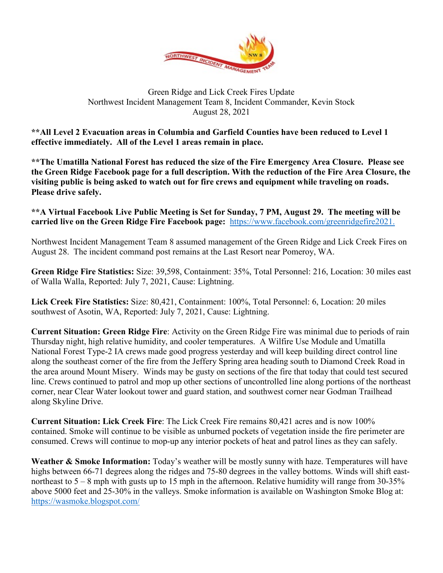

## Green Ridge and Lick Creek Fires Update Northwest Incident Management Team 8, Incident Commander, Kevin Stock August 28, 2021

**\*\*All Level 2 Evacuation areas in Columbia and Garfield Counties have been reduced to Level 1 effective immediately. All of the Level 1 areas remain in place.** 

**\*\*The Umatilla National Forest has reduced the size of the Fire Emergency Area Closure. Please see the Green Ridge Facebook page for a full description. With the reduction of the Fire Area Closure, the visiting public is being asked to watch out for fire crews and equipment while traveling on roads. Please drive safely.** 

**\*\*A Virtual Facebook Live Public Meeting is Set for Sunday, 7 PM, August 29. The meeting will be carried live on the Green Ridge Fire Facebook page:** [https://www.facebook.com/greenridgefire2021.](https://www.facebook.com/greenridgefire2021)

Northwest Incident Management Team 8 assumed management of the Green Ridge and Lick Creek Fires on August 28. The incident command post remains at the Last Resort near Pomeroy, WA.

**Green Ridge Fire Statistics:** Size: 39,598, Containment: 35%, Total Personnel: 216, Location: 30 miles east of Walla Walla, Reported: July 7, 2021, Cause: Lightning.

**Lick Creek Fire Statistics:** Size: 80,421, Containment: 100%, Total Personnel: 6, Location: 20 miles southwest of Asotin, WA, Reported: July 7, 2021, Cause: Lightning.

**Current Situation: Green Ridge Fire**: Activity on the Green Ridge Fire was minimal due to periods of rain Thursday night, high relative humidity, and cooler temperatures. A Wilfire Use Module and Umatilla National Forest Type-2 IA crews made good progress yesterday and will keep building direct control line along the southeast corner of the fire from the Jeffery Spring area heading south to Diamond Creek Road in the area around Mount Misery. Winds may be gusty on sections of the fire that today that could test secured line. Crews continued to patrol and mop up other sections of uncontrolled line along portions of the northeast corner, near Clear Water lookout tower and guard station, and southwest corner near Godman Trailhead along Skyline Drive.

**Current Situation: Lick Creek Fire**: The Lick Creek Fire remains 80,421 acres and is now 100% contained. Smoke will continue to be visible as unburned pockets of vegetation inside the fire perimeter are consumed. Crews will continue to mop-up any interior pockets of heat and patrol lines as they can safely.

**Weather & Smoke Information:** Today's weather will be mostly sunny with haze. Temperatures will have highs between 66-71 degrees along the ridges and 75-80 degrees in the valley bottoms. Winds will shift eastnortheast to 5 – 8 mph with gusts up to 15 mph in the afternoon. Relative humidity will range from 30-35% above 5000 feet and 25-30% in the valleys. Smoke information is available on Washington Smoke Blog at: <https://wasmoke.blogspot.com/>